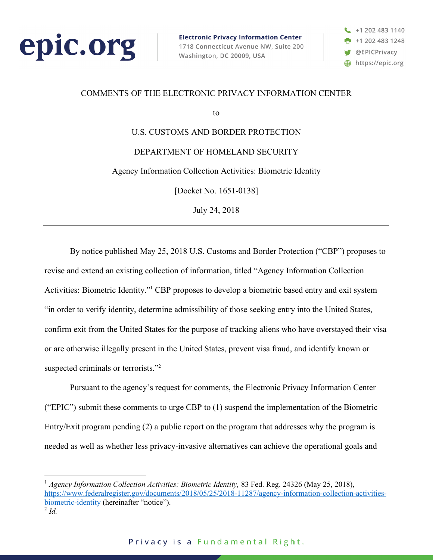

**Electronic Privacy Information Center** 1718 Connecticut Avenue NW, Suite 200 Washington, DC 20009, USA



### COMMENTS OF THE ELECTRONIC PRIVACY INFORMATION CENTER

to

U.S. CUSTOMS AND BORDER PROTECTION DEPARTMENT OF HOMELAND SECURITY Agency Information Collection Activities: Biometric Identity

[Docket No. 1651-0138]

July 24, 2018

By notice published May 25, 2018 U.S. Customs and Border Protection ("CBP") proposes to revise and extend an existing collection of information, titled "Agency Information Collection Activities: Biometric Identity."1 CBP proposes to develop a biometric based entry and exit system "in order to verify identity, determine admissibility of those seeking entry into the United States, confirm exit from the United States for the purpose of tracking aliens who have overstayed their visa or are otherwise illegally present in the United States, prevent visa fraud, and identify known or suspected criminals or terrorists."<sup>2</sup>

Pursuant to the agency's request for comments, the Electronic Privacy Information Center ("EPIC") submit these comments to urge CBP to (1) suspend the implementation of the Biometric Entry/Exit program pending (2) a public report on the program that addresses why the program is needed as well as whether less privacy-invasive alternatives can achieve the operational goals and

<sup>&</sup>lt;sup>1</sup> Agency Information Collection Activities: Biometric Identity, 83 Fed. Reg. 24326 (May 25, 2018), https://www.federalregister.gov/documents/2018/05/25/2018-11287/agency-information-collection-activitiesbiometric-identity (hereinafter "notice").

 $\overline{^{2}$  *Id.*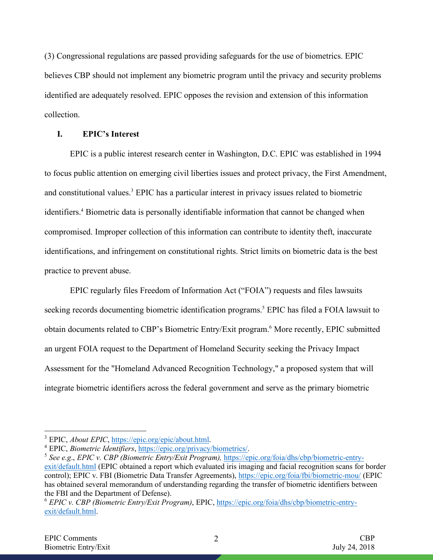(3) Congressional regulations are passed providing safeguards for the use of biometrics. EPIC believes CBP should not implement any biometric program until the privacy and security problems identified are adequately resolved. EPIC opposes the revision and extension of this information collection.

### **I. EPIC's Interest**

EPIC is a public interest research center in Washington, D.C. EPIC was established in 1994 to focus public attention on emerging civil liberties issues and protect privacy, the First Amendment, and constitutional values.3 EPIC has a particular interest in privacy issues related to biometric identifiers. <sup>4</sup> Biometric data is personally identifiable information that cannot be changed when compromised. Improper collection of this information can contribute to identity theft, inaccurate identifications, and infringement on constitutional rights. Strict limits on biometric data is the best practice to prevent abuse.

EPIC regularly files Freedom of Information Act ("FOIA") requests and files lawsuits seeking records documenting biometric identification programs.<sup>5</sup> EPIC has filed a FOIA lawsuit to obtain documents related to CBP's Biometric Entry/Exit program.<sup>6</sup> More recently, EPIC submitted an urgent FOIA request to the Department of Homeland Security seeking the Privacy Impact Assessment for the "Homeland Advanced Recognition Technology," a proposed system that will integrate biometric identifiers across the federal government and serve as the primary biometric

 <sup>3</sup> EPIC, *About EPIC*, https://epic.org/epic/about.html.

<sup>4</sup> EPIC, *Biometric Identifiers*, https://epic.org/privacy/biometrics/.

<sup>5</sup> *See e.g*., *EPIC v. CBP (Biometric Entry/Exit Program),* https://epic.org/foia/dhs/cbp/biometric-entryexit/default.html (EPIC obtained a report which evaluated iris imaging and facial recognition scans for border control); EPIC v. FBI (Biometric Data Transfer Agreements), https://epic.org/foia/fbi/biometric-mou/ (EPIC has obtained several memorandum of understanding regarding the transfer of biometric identifiers between the FBI and the Department of Defense).

<sup>6</sup> *EPIC v. CBP (Biometric Entry/Exit Program)*, EPIC, https://epic.org/foia/dhs/cbp/biometric-entryexit/default.html.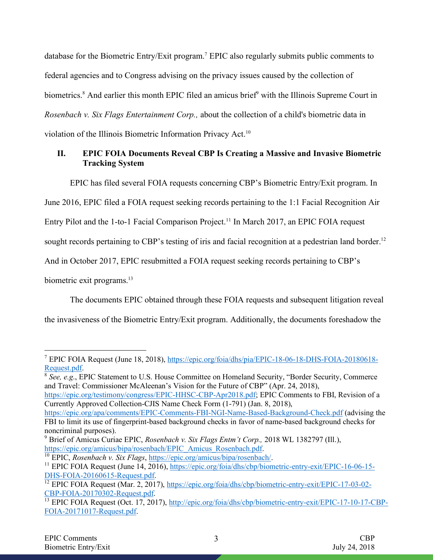database for the Biometric Entry/Exit program. <sup>7</sup> EPIC also regularly submits public comments to federal agencies and to Congress advising on the privacy issues caused by the collection of biometrics.<sup>8</sup> And earlier this month EPIC filed an amicus brief<sup>9</sup> with the Illinois Supreme Court in *Rosenbach v. Six Flags Entertainment Corp.,* about the collection of a child's biometric data in violation of the Illinois Biometric Information Privacy Act.<sup>10</sup>

# **II. EPIC FOIA Documents Reveal CBP Is Creating a Massive and Invasive Biometric Tracking System**

EPIC has filed several FOIA requests concerning CBP's Biometric Entry/Exit program. In

June 2016, EPIC filed a FOIA request seeking records pertaining to the 1:1 Facial Recognition Air

Entry Pilot and the 1-to-1 Facial Comparison Project.<sup>11</sup> In March 2017, an EPIC FOIA request

sought records pertaining to CBP's testing of iris and facial recognition at a pedestrian land border.<sup>12</sup>

And in October 2017, EPIC resubmitted a FOIA request seeking records pertaining to CBP's

biometric exit programs.<sup>13</sup>

The documents EPIC obtained through these FOIA requests and subsequent litigation reveal

the invasiveness of the Biometric Entry/Exit program. Additionally, the documents foreshadow the

https://epic.org/testimony/congress/EPIC-HHSC-CBP-Apr2018.pdf; EPIC Comments to FBI, Revision of a Currently Approved Collection-CJIS Name Check Form (1-791) (Jan. 8, 2018),

<sup>10</sup> EPIC, *Rosenbach v. Six Flags*, https://epic.org/amicus/bipa/rosenbach/.

 <sup>7</sup> EPIC FOIA Request (June 18, 2018), https://epic.org/foia/dhs/pia/EPIC-18-06-18-DHS-FOIA-20180618- Request.pdf.

<sup>8</sup> *See, e.g*., EPIC Statement to U.S. House Committee on Homeland Security, "Border Security, Commerce and Travel: Commissioner McAleenan's Vision for the Future of CBP" (Apr. 24, 2018),

https://epic.org/apa/comments/EPIC-Comments-FBI-NGI-Name-Based-Background-Check.pdf (advising the FBI to limit its use of fingerprint-based background checks in favor of name-based background checks for noncriminal purposes).

<sup>9</sup> Brief of Amicus Curiae EPIC, *Rosenbach v. Six Flags Entm't Corp.,* 2018 WL 1382797 (Ill.), https://epic.org/amicus/bipa/rosenbach/EPIC\_Amicus\_Rosenbach.pdf.

<sup>&</sup>lt;sup>11</sup> EPIC FOIA Request (June 14, 2016), https://epic.org/foia/dhs/cbp/biometric-entry-exit/EPIC-16-06-15-DHS-FOIA-20160615-Request.pdf.

<sup>12</sup> EPIC FOIA Request (Mar. 2, 2017), https://epic.org/foia/dhs/cbp/biometric-entry-exit/EPIC-17-03-02- CBP-FOIA-20170302-Request.pdf.<br><sup>13</sup> EPIC FOIA Request (Oct. 17, 2017), http://epic.org/foia/dhs/cbp/biometric-entry-exit/EPIC-17-10-17-CBP-

FOIA-20171017-Request.pdf.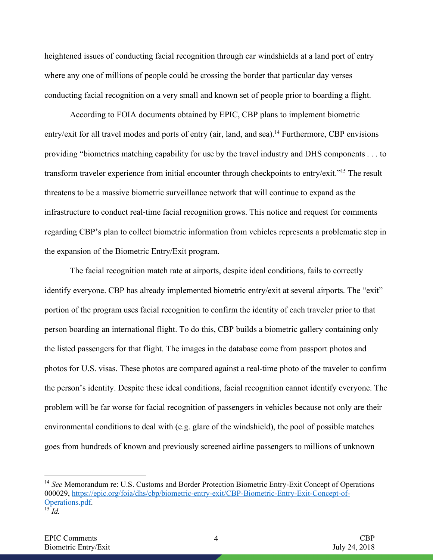heightened issues of conducting facial recognition through car windshields at a land port of entry where any one of millions of people could be crossing the border that particular day verses conducting facial recognition on a very small and known set of people prior to boarding a flight.

According to FOIA documents obtained by EPIC, CBP plans to implement biometric entry/exit for all travel modes and ports of entry (air, land, and sea).<sup>14</sup> Furthermore, CBP envisions providing "biometrics matching capability for use by the travel industry and DHS components . . . to transform traveler experience from initial encounter through checkpoints to entry/exit."15 The result threatens to be a massive biometric surveillance network that will continue to expand as the infrastructure to conduct real-time facial recognition grows. This notice and request for comments regarding CBP's plan to collect biometric information from vehicles represents a problematic step in the expansion of the Biometric Entry/Exit program.

The facial recognition match rate at airports, despite ideal conditions, fails to correctly identify everyone. CBP has already implemented biometric entry/exit at several airports. The "exit" portion of the program uses facial recognition to confirm the identity of each traveler prior to that person boarding an international flight. To do this, CBP builds a biometric gallery containing only the listed passengers for that flight. The images in the database come from passport photos and photos for U.S. visas. These photos are compared against a real-time photo of the traveler to confirm the person's identity. Despite these ideal conditions, facial recognition cannot identify everyone. The problem will be far worse for facial recognition of passengers in vehicles because not only are their environmental conditions to deal with (e.g. glare of the windshield), the pool of possible matches goes from hundreds of known and previously screened airline passengers to millions of unknown

<sup>&</sup>lt;sup>14</sup> *See* Memorandum re: U.S. Customs and Border Protection Biometric Entry-Exit Concept of Operations 000029, https://epic.org/foia/dhs/cbp/biometric-entry-exit/CBP-Biometric-Entry-Exit-Concept-of-Operations.pdf.  $\overline{\phantom{a}^{15}Id.}$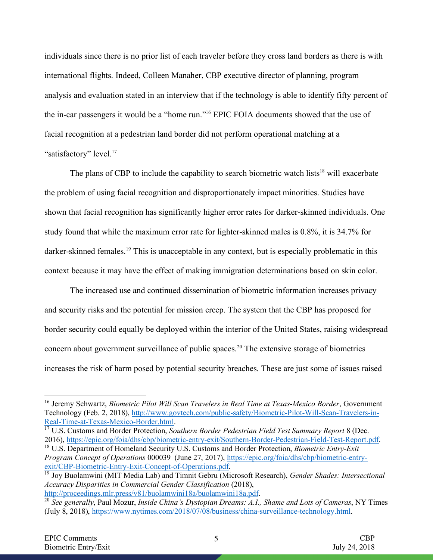individuals since there is no prior list of each traveler before they cross land borders as there is with international flights. Indeed, Colleen Manaher, CBP executive director of planning, program analysis and evaluation stated in an interview that if the technology is able to identify fifty percent of the in-car passengers it would be a "home run."16 EPIC FOIA documents showed that the use of facial recognition at a pedestrian land border did not perform operational matching at a "satisfactory" level.<sup>17</sup>

The plans of CBP to include the capability to search biometric watch lists<sup>18</sup> will exacerbate the problem of using facial recognition and disproportionately impact minorities. Studies have shown that facial recognition has significantly higher error rates for darker-skinned individuals. One study found that while the maximum error rate for lighter-skinned males is 0.8%, it is 34.7% for darker-skinned females.<sup>19</sup> This is unacceptable in any context, but is especially problematic in this context because it may have the effect of making immigration determinations based on skin color.

The increased use and continued dissemination of biometric information increases privacy and security risks and the potential for mission creep. The system that the CBP has proposed for border security could equally be deployed within the interior of the United States, raising widespread concern about government surveillance of public spaces. <sup>20</sup> The extensive storage of biometrics increases the risk of harm posed by potential security breaches. These are just some of issues raised

<sup>17</sup> U.S. Customs and Border Protection, *Southern Border Pedestrian Field Test Summary Report* 8 (Dec. 2016), https://epic.org/foia/dhs/cbp/biometric-entry-exit/Southern-Border-Pedestrian-Field-Test-Report.pdf.

<sup>18</sup> U.S. Department of Homeland Security U.S. Customs and Border Protection, *Biometric Entry-Exit Program Concept of Operations* 000039 (June 27, 2017), https://epic.org/foia/dhs/cbp/biometric-entryexit/CBP-Biometric-Entry-Exit-Concept-of-Operations.pdf.

 <sup>16</sup> Jeremy Schwartz, *Biometric Pilot Will Scan Travelers in Real Time at Texas-Mexico Border*, Government Technology (Feb. 2, 2018), http://www.govtech.com/public-safety/Biometric-Pilot-Will-Scan-Travelers-in-Real-Time-at-Texas-Mexico-Border.html.

<sup>19</sup> Joy Buolamwini (MIT Media Lab) and Timnit Gebru (Microsoft Research), *Gender Shades: Intersectional Accuracy Disparities in Commercial Gender Classification* (2018), http://proceedings.mlr.press/v81/buolamwini18a/buolamwini18a.pdf.

<sup>20</sup> *See generally*, Paul Mozur, *Inside China's Dystopian Dreams: A.I., Shame and Lots of Cameras*, NY Times (July 8, 2018), https://www.nytimes.com/2018/07/08/business/china-surveillance-technology.html.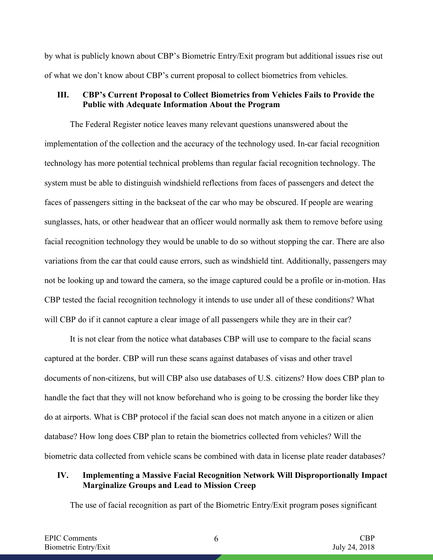by what is publicly known about CBP's Biometric Entry/Exit program but additional issues rise out of what we don't know about CBP's current proposal to collect biometrics from vehicles.

## **III. CBP's Current Proposal to Collect Biometrics from Vehicles Fails to Provide the Public with Adequate Information About the Program**

The Federal Register notice leaves many relevant questions unanswered about the implementation of the collection and the accuracy of the technology used. In-car facial recognition technology has more potential technical problems than regular facial recognition technology. The system must be able to distinguish windshield reflections from faces of passengers and detect the faces of passengers sitting in the backseat of the car who may be obscured. If people are wearing sunglasses, hats, or other headwear that an officer would normally ask them to remove before using facial recognition technology they would be unable to do so without stopping the car. There are also variations from the car that could cause errors, such as windshield tint. Additionally, passengers may not be looking up and toward the camera, so the image captured could be a profile or in-motion. Has CBP tested the facial recognition technology it intends to use under all of these conditions? What will CBP do if it cannot capture a clear image of all passengers while they are in their car?

It is not clear from the notice what databases CBP will use to compare to the facial scans captured at the border. CBP will run these scans against databases of visas and other travel documents of non-citizens, but will CBP also use databases of U.S. citizens? How does CBP plan to handle the fact that they will not know beforehand who is going to be crossing the border like they do at airports. What is CBP protocol if the facial scan does not match anyone in a citizen or alien database? How long does CBP plan to retain the biometrics collected from vehicles? Will the biometric data collected from vehicle scans be combined with data in license plate reader databases?

# **IV. Implementing a Massive Facial Recognition Network Will Disproportionally Impact Marginalize Groups and Lead to Mission Creep**

The use of facial recognition as part of the Biometric Entry/Exit program poses significant

6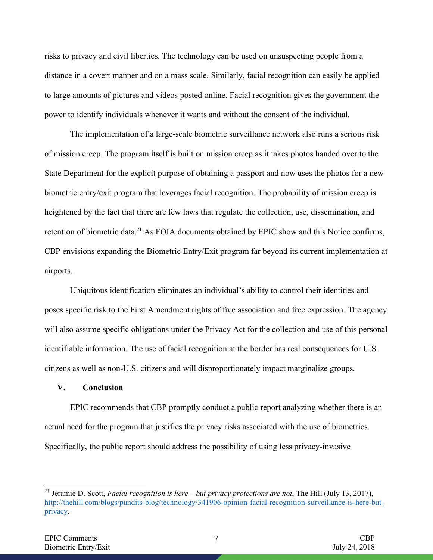risks to privacy and civil liberties. The technology can be used on unsuspecting people from a distance in a covert manner and on a mass scale. Similarly, facial recognition can easily be applied to large amounts of pictures and videos posted online. Facial recognition gives the government the power to identify individuals whenever it wants and without the consent of the individual.

The implementation of a large-scale biometric surveillance network also runs a serious risk of mission creep. The program itself is built on mission creep as it takes photos handed over to the State Department for the explicit purpose of obtaining a passport and now uses the photos for a new biometric entry/exit program that leverages facial recognition. The probability of mission creep is heightened by the fact that there are few laws that regulate the collection, use, dissemination, and retention of biometric data.<sup>21</sup> As FOIA documents obtained by EPIC show and this Notice confirms, CBP envisions expanding the Biometric Entry/Exit program far beyond its current implementation at airports.

Ubiquitous identification eliminates an individual's ability to control their identities and poses specific risk to the First Amendment rights of free association and free expression. The agency will also assume specific obligations under the Privacy Act for the collection and use of this personal identifiable information. The use of facial recognition at the border has real consequences for U.S. citizens as well as non-U.S. citizens and will disproportionately impact marginalize groups.

#### **V. Conclusion**

EPIC recommends that CBP promptly conduct a public report analyzing whether there is an actual need for the program that justifies the privacy risks associated with the use of biometrics. Specifically, the public report should address the possibility of using less privacy-invasive

 <sup>21</sup> Jeramie D. Scott, *Facial recognition is here – but privacy protections are not*, The Hill (July 13, 2017), http://thehill.com/blogs/pundits-blog/technology/341906-opinion-facial-recognition-surveillance-is-here-butprivacy.